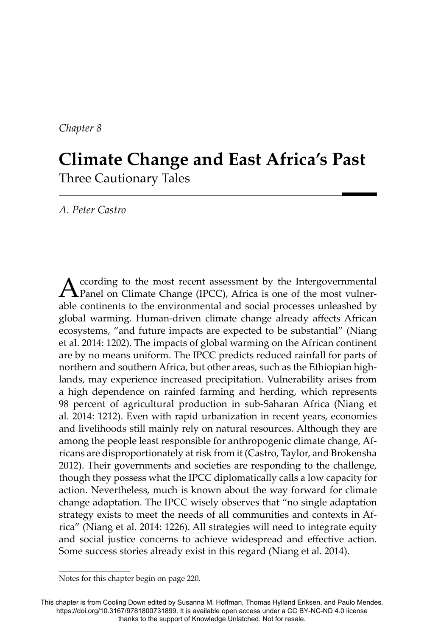*Chapter 8*

# **Climate Change and East Africa's Past** Three Cautionary Tales

*A. Peter Castro*

According to the most recent assessment by the Intergovernmental Panel on Climate Change (IPCC), Africa is one of the most vulnerable continents to the environmental and social processes unleashed by global warming. Human-driven climate change already affects African ecosystems, "and future impacts are expected to be substantial" (Niang et al. 2014: 1202). The impacts of global warming on the African continent are by no means uniform. The IPCC predicts reduced rainfall for parts of northern and southern Africa, but other areas, such as the Ethiopian highlands, may experience increased precipitation. Vulnerability arises from a high dependence on rainfed farming and herding, which represents 98 percent of agricultural production in sub-Saharan Africa (Niang et al. 2014: 1212). Even with rapid urbanization in recent years, economies and livelihoods still mainly rely on natural resources. Although they are among the people least responsible for anthropogenic climate change, Africans are disproportionately at risk from it (Castro, Taylor, and Brokensha 2012). Their governments and societies are responding to the challenge, though they possess what the IPCC diplomatically calls a low capacity for action. Nevertheless, much is known about the way forward for climate change adaptation. The IPCC wisely observes that "no single adaptation strategy exists to meet the needs of all communities and contexts in Africa" (Niang et al. 2014: 1226). All strategies will need to integrate equity and social justice concerns to achieve widespread and effective action. Some success stories already exist in this regard (Niang et al. 2014).

Notes for this chapter begin on page 220.

This chapter is from Cooling Down edited by Susanna M. Hoffman, Thomas Hylland Eriksen, and Paulo Mendes. https://doi.org/10.3167/9781800731899. It is available open access under a CC BY-NC-ND 4.0 license thanks to the support of Knowledge Unlatched. Not for resale.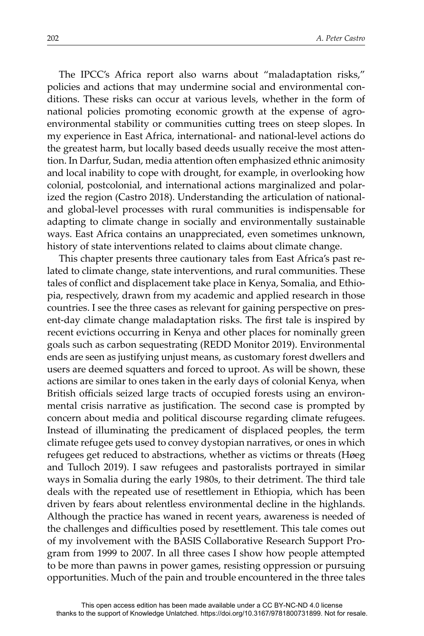The IPCC's Africa report also warns about "maladaptation risks," policies and actions that may undermine social and environmental conditions. These risks can occur at various levels, whether in the form of national policies promoting economic growth at the expense of agroenvironmental stability or communities cutting trees on steep slopes. In my experience in East Africa, international- and national-level actions do the greatest harm, but locally based deeds usually receive the most attention. In Darfur, Sudan, media attention often emphasized ethnic animosity and local inability to cope with drought, for example, in overlooking how colonial, postcolonial, and international actions marginalized and polarized the region (Castro 2018). Understanding the articulation of nationaland global-level processes with rural communities is indispensable for adapting to climate change in socially and environmentally sustainable ways. East Africa contains an unappreciated, even sometimes unknown, history of state interventions related to claims about climate change.

This chapter presents three cautionary tales from East Africa's past related to climate change, state interventions, and rural communities. These tales of conflict and displacement take place in Kenya, Somalia, and Ethiopia, respectively, drawn from my academic and applied research in those countries. I see the three cases as relevant for gaining perspective on present-day climate change maladaptation risks. The first tale is inspired by recent evictions occurring in Kenya and other places for nominally green goals such as carbon sequestrating (REDD Monitor 2019). Environmental ends are seen as justifying unjust means, as customary forest dwellers and users are deemed squatters and forced to uproot. As will be shown, these actions are similar to ones taken in the early days of colonial Kenya, when British officials seized large tracts of occupied forests using an environmental crisis narrative as justification. The second case is prompted by concern about media and political discourse regarding climate refugees. Instead of illuminating the predicament of displaced peoples, the term climate refugee gets used to convey dystopian narratives, or ones in which refugees get reduced to abstractions, whether as victims or threats (Høeg and Tulloch 2019). I saw refugees and pastoralists portrayed in similar ways in Somalia during the early 1980s, to their detriment. The third tale deals with the repeated use of resettlement in Ethiopia, which has been driven by fears about relentless environmental decline in the highlands. Although the practice has waned in recent years, awareness is needed of the challenges and difficulties posed by resettlement. This tale comes out of my involvement with the B ASIS Collaborative Research Support Program from 1999 to 2007. In all three cases I show how people attempted to be more than pawns in power games, resisting oppression or pursuing opportunities. Much of the pain and trouble encountered in the three tales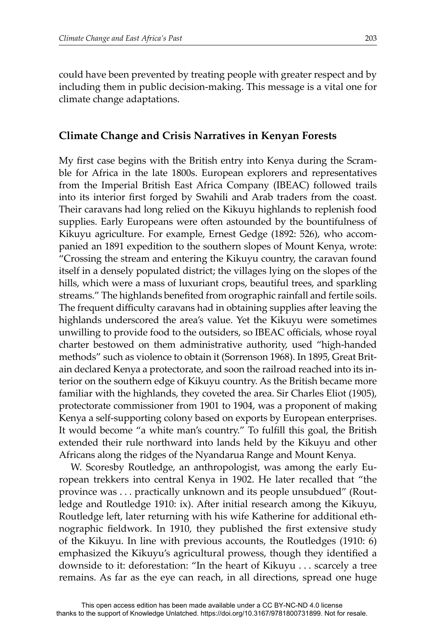could have been prevented by treating people with greater respect and by including them in public decision-making. This message is a vital one for climate change adaptations.

## **Climate Change and Crisis Narratives in Kenyan Forests**

My first case begins with the British entry into Kenya during the Scramble for Africa in the late 1800s. European explorers and representatives from the Imperial British East Africa Company (IBEAC) followed trails into its interior first forged by Swahili and Arab traders from the coast. Their caravans had long relied on the Kikuyu highlands to replenish food supplies. Early Europeans were often astounded by the bountifulness of Kikuyu agriculture. For example, Ernest Gedge (1892: 526), who accompanied an 1891 expedition to the southern slopes of Mount Kenya, wrote: "Crossing the stream and entering the Kikuyu country, the caravan found itself in a densely populated district; the villages lying on the slopes of the hills, which were a mass of luxuriant crops, beautiful trees, and sparkling streams." The highlands benefited from orographic rainfall and fertile soils. The frequent difficulty caravans had in obtaining supplies after leaving the highlands underscored the area's value. Yet the Kikuyu were sometimes unwilling to provide food to the outsiders, so IBEAC officials, whose royal charter bestowed on them administrative authority, used "high-handed methods" such as violence to obtain it (Sorrenson 1968). In 1895, Great Britain declared Kenya a protectorate, and soon the railroad reached into its interior on the southern edge of Kikuyu country. As the British became more familiar with the highlands, they coveted the area. Sir Charles Eliot (1905), protectorate commissioner from 1901 to 1904, was a proponent of making Kenya a self-supporting colony based on exports by European enterprises. It would become "a white man's country." To fulfill this goal, the British extended their rule northward into lands held by the Kikuyu and other Africans along the ridges of the Nyandarua Range and Mount Kenya.

W. Scoresby Routledge, an anthropologist, was among the early European trekkers into central Kenya in 1902. He later recalled that "the province was . . . practically unknown and its people unsubdued" (Routledge and Routledge 1910: ix). After initial research among the Kikuyu, Routledge left, later returning with his wife Katherine for additional ethnographic fieldwork. In 1910, they published the first extensive study of the Kikuyu. In line with previous accounts, the Routledges (1910: 6) emphasized the Kikuyu's agricultural prowess, though they identified a downside to it: deforestation: "In the heart of Kikuyu . . . scarcely a tree remains. As far as the eye can reach, in all directions, spread one huge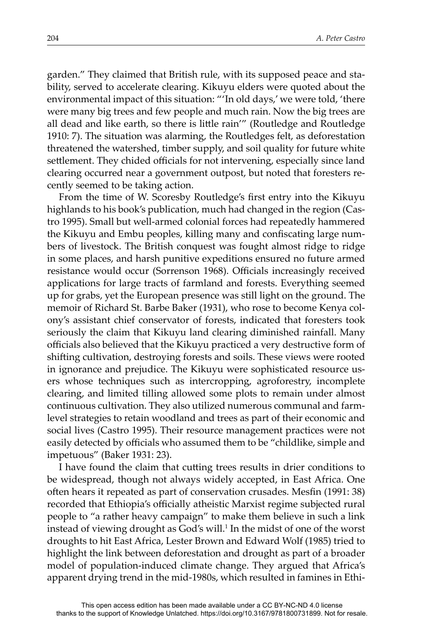garden." They claimed that British rule, with its supposed peace and stability, served to accelerate clearing. Kikuyu elders were quoted about the environmental impact of this situation: "'In old days,' we were told, 'there were many big trees and few people and much rain. Now the big trees are all dead and like earth, so there is little rain'" (Routledge and Routledge 1910: 7). The situation was alarming, the Routledges felt, as deforestation threatened the watershed, timber supply, and soil quality for future white settlement. They chided officials for not intervening, especially since land clearing occurred near a government outpost, but noted that foresters recently seemed to be taking action.

From the time of W. Scoresby Routledge's first entry into the Kikuyu highlands to his book's publication, much had changed in the region (Castro 1995). Small but well-armed colonial forces had repeatedly hammered the Kikuyu and Embu peoples, killing many and confiscating large numbers of livestock. The British conquest was fought almost ridge to ridge in some places, and harsh punitive expeditions ensured no future armed resistance would occur (Sorrenson 1968). Officials increasingly received applications for large tracts of farmland and forests. Everything seemed up for grabs, yet the European presence was still light on the ground. The memoir of Richard St. Barbe Baker (1931), who rose to become Kenya colony's assistant chief conservator of forests, indicated that foresters took seriously the claim that Kikuyu land clearing diminished rainfall. Many officials also believed that the Kikuyu practiced a very destructive form of shifting cultivation, destroying forests and soils. These views were rooted in ignorance and prejudice. The Kikuyu were sophisticated resource users whose techniques such as intercropping, agroforestry, incomplete clearing, and limited tilling allowed some plots to remain under almost continuous cultivation. They also utilized numerous communal and farmlevel strategies to retain woodland and trees as part of their economic and social lives (Castro 1995). Their resource management practices were not easily detected by officials who assumed them to be "childlike, simple and impetuous" (Baker 1931: 23).

I have found the claim that cutting trees results in drier conditions to be widespread, though not always widely accepted, in East Africa. One often hears it repeated as part of conservation crusades. Mesfin (1991: 38) recorded that Ethiopia's officially atheistic Marxist regime subjected rural people to "a rather heavy campaign" to make them believe in such a link instead of viewing drought as God's will. $^1$  In the midst of one of the worst droughts to hit East Africa, Lester Brown and Edward Wolf (1985) tried to highlight the link between deforestation and drought as part of a broader model of population-induced climate change. They argued that Africa's apparent drying trend in the mid-1980s, which resulted in famines in Ethi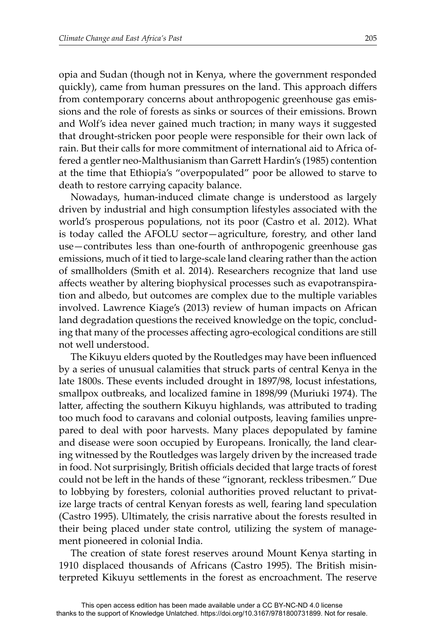opia and Sudan (though not in Kenya, where the government responded quickly), came from human pressures on the land. This approach differs from contemporary concerns about anthropogenic greenhouse gas emissions and the role of forests as sinks or sources of their emissions. Brown and Wolf's idea never gained much traction; in many ways it suggested that drought-stricken poor people were responsible for their own lack of rain. But their calls for more commitment of international aid to Africa offered a gentler neo-Malthusianism than Garrett Hardin's (1985) contention at the time that Ethiopia's "overpopulated" poor be allowed to starve to death to restore carrying capacity balance.

Nowadays, human-induced climate change is understood as largely driven by industrial and high consumption lifestyles associated with the world's prosperous populations, not its poor (Castro et al. 2012). What is today called the AFOLU sector—agriculture, forestry, and other land use—contributes less than one-fourth of anthropogenic greenhouse gas emissions, much of it tied to large-scale land clearing rather than the action of smallholders (Smith et al. 2014). Researchers recognize that land use affects weather by altering biophysical processes such as evapotranspiration and albedo, but outcomes are complex due to the multiple variables involved. Lawrence Kiage's (2013) review of human impacts on African land degradation questions the received knowledge on the topic, concluding that many of the processes affecting agro-ecological conditions are still not well understood.

The Kikuyu elders quoted by the Routledges may have been influenced by a series of unusual calamities that struck parts of central Kenya in the late 1800s. These events included drought in 1897/98, locust infestations, smallpox outbreaks, and localized famine in 1898/99 (Muriuki 1974). The latter, affecting the southern Kikuyu highlands, was attributed to trading too much food to caravans and colonial outposts, leaving families unprepared to deal with poor harvests. Many places depopulated by famine and disease were soon occupied by Europeans. Ironically, the land clearing witnessed by the Routledges was largely driven by the increased trade in food. Not surprisingly, British officials decided that large tracts of forest could not be left in the hands of these "ignorant, reckless tribesmen." Due to lobbying by foresters, colonial authorities proved reluctant to privatize large tracts of central Kenyan forests as well, fearing land speculation (Castro 1995). Ultimately, the crisis narrative about the forests resulted in their being placed under state control, utilizing the system of management pioneered in colonial India.

The creation of state forest reserves around Mount Kenya starting in 1910 displaced thousands of Africans (Castro 1995). The British misinterpreted Kikuyu settlements in the forest as encroachment. The reserve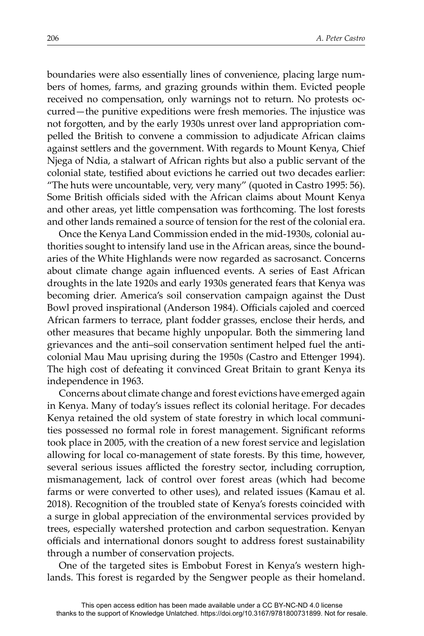boundaries were also essentially lines of convenience, placing large numbers of homes, farms, and grazing grounds within them. Evicted people received no compensation, only warnings not to return. No protests occurred—the punitive expeditions were fresh memories. The injustice was not forgotten, and by the early 1930s unrest over land appropriation compelled the British to convene a commission to adjudicate African claims against settlers and the government. With regards to Mount Kenya, Chief Njega of Ndia, a stalwart of African rights but also a public servant of the colonial state, testified about evictions he carried out two decades earlier: "The huts were uncountable, very, very many" (quoted in Castro 1995: 56). Some British officials sided with the African claims about Mount Kenya and other areas, yet little compensation was forthcoming. The lost forests and other lands remained a source of tension for the rest of the colonial era.

Once the Kenya Land Commission ended in the mid-1930s, colonial authorities sought to intensify land use in the African areas, since the boundaries of the White Highlands were now regarded as sacrosanct. Concerns about climate change again influenced events. A series of East African droughts in the late 1920s and early 1930s generated fears that Kenya was becoming drier. America's soil conservation campaign against the Dust Bowl proved inspirational (Anderson 1984). Officials cajoled and coerced African farmers to terrace, plant fodder grasses, enclose their herds, and other measures that became highly unpopular. Both the simmering land grievances and the anti–soil conservation sentiment helped fuel the anticolonial Mau Mau uprising during the 1950s (Castro and Ettenger 1994). The high cost of defeating it convinced Great Britain to grant Kenya its independence in 1963.

Concerns about climate change and forest evictions have emerged again in Kenya. Many of today's issues reflect its colonial heritage. For decades Kenya retained the old system of state forestry in which local communities possessed no formal role in forest management. Significant reforms took place in 2005, with the creation of a new forest service and legislation allowing for local co-management of state forests. By this time, however, several serious issues afflicted the forestry sector, including corruption, mismanagement, lack of control over forest areas (which had become farms or were converted to other uses), and related issues (Kamau et al. 2018). Recognition of the troubled state of Kenya's forests coincided with a surge in global appreciation of the environmental services provided by trees, especially watershed protection and carbon sequestration. Kenyan officials and international donors sought to address forest sustainability through a number of conservation projects.

One of the targeted sites is Embobut Forest in Kenya's western highlands. This forest is regarded by the Sengwer people as their homeland.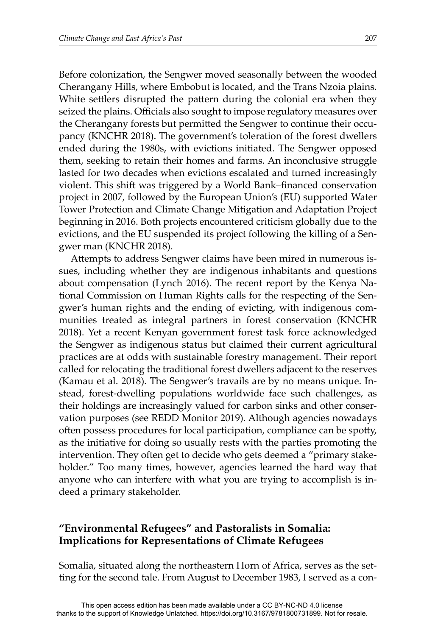Before colonization, the Sengwer moved seasonally between the wooded Cherangany Hills, where Embobut is located, and the Trans Nzoia plains. White settlers disrupted the pattern during the colonial era when they seized the plains. Officials also sought to impose regulatory measures over the Cherangany forests but permitted the Sengwer to continue their occupancy (KNCHR 2018). The government's toleration of the forest dwellers ended during the 1980s, with evictions initiated. The Sengwer opposed them, seeking to retain their homes and farms. An inconclusive struggle lasted for two decades when evictions escalated and turned increasingly violent. This shift was triggered by a World Bank–financed conservation project in 2007, followed by the European Union's (EU) supported Water Tower Protection and Climate Change Mitigation and Adaptation Project beginning in 2016. Both projects encountered criticism globally due to the evictions, and the EU suspended its project following the killing of a Sengwer man (KNCHR 2018).

Attempts to address Sengwer claims have been mired in numerous issues, including whether they are indigenous inhabitants and questions about compensation (Lynch 2016). The recent report by the Kenya National Commission on Human Rights calls for the respecting of the Sengwer's human rights and the ending of evicting, with indigenous communities treated as integral partners in forest conservation (KNCHR 2018). Yet a recent Kenyan government forest task force acknowledged the Sengwer as indigenous status but claimed their current agricultural practices are at odds with sustainable forestry management. Their report called for relocating the traditional forest dwellers adjacent to the reserves (Kamau et al. 2018). The Sengwer's travails are by no means unique. Instead, forest-dwelling populations worldwide face such challenges, as their holdings are increasingly valued for carbon sinks and other conservation purposes (see REDD Monitor 2019). Although agencies nowadays often possess procedures for local participation, compliance can be spotty, as the initiative for doing so usually rests with the parties promoting the intervention. They often get to decide who gets deemed a "primary stakeholder." Too many times, however, agencies learned the hard way that anyone who can interfere with what you are trying to accomplish is indeed a primary stakeholder.

# **"Environmental Refugees" and Pastoralists in Somalia: Implications for Representations of Climate Refugees**

Somalia, situated along the northeastern Horn of Africa, serves as the setting for the second tale. From August to December 1983, I served as a con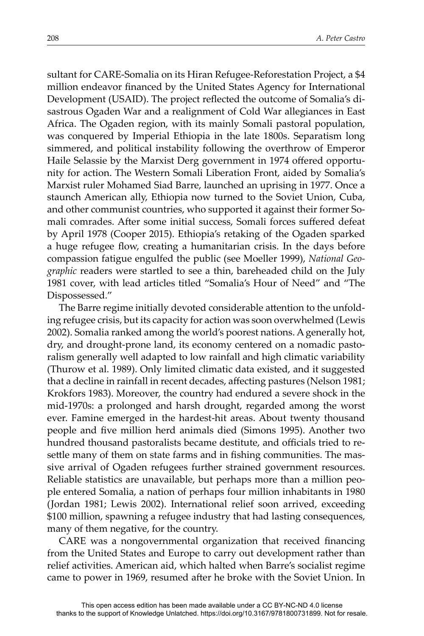sultant for CARE-Somalia on its Hiran Refugee-Reforestation Project, a \$4 million endeavor financed by the United States Agency for International Development (USAID). The project reflected the outcome of Somalia's disastrous Ogaden War and a realignment of Cold War allegiances in East Africa. The Ogaden region, with its mainly Somali pastoral population, was conquered by Imperial Ethiopia in the late 1800s. Separatism long simmered, and political instability following the overthrow of Emperor Haile Selassie by the Marxist Derg government in 1974 offered opportunity for action. The Western Somali Liberation Front, aided by Somalia's Marxist ruler Mohamed Siad Barre, launched an uprising in 1977. Once a staunch American ally, Ethiopia now turned to the Soviet Union, Cuba, and other communist countries, who supported it against their former Somali comrades. After some initial success, Somali forces suffered defeat by April 1978 (Cooper 2015). Ethiopia's retaking of the Ogaden sparked a huge refugee flow, creating a humanitarian crisis. In the days before compassion fatigue engulfed the public (see Moeller 1999), *National Geographic* readers were startled to see a thin, bareheaded child on the July 1981 cover, with lead articles titled "Somalia's Hour of Need" and "The Dispossessed."

The Barre regime initially devoted considerable attention to the unfolding refugee crisis, but its capacity for action was soon overwhelmed (Lewis 2002). Somalia ranked among the world's poorest nations. A generally hot, dry, and drought-prone land, its economy centered on a nomadic pastoralism generally well adapted to low rainfall and high climatic variability (Thurow et al. 1989). Only limited climatic data existed, and it suggested that a decline in rainfall in recent decades, affecting pastures (Nelson 1981; Krokfors 1983). Moreover, the country had endured a severe shock in the mid-1970s: a prolonged and harsh drought, regarded among the worst ever. Famine emerged in the hardest-hit areas. About twenty thousand people and five million herd animals died (Simons 1995). Another two hundred thousand pastoralists became destitute, and officials tried to resettle many of them on state farms and in fishing communities. The massive arrival of Ogaden refugees further strained government resources. Reliable statistics are unavailable, but perhaps more than a million people entered Somalia, a nation of perhaps four million inhabitants in 1980 (Jordan 1981; Lewis 2002). International relief soon arrived, exceeding \$100 million, spawning a refugee industry that had lasting consequences, many of them negative, for the country.

CARE was a nongovernmental organization that received financing from the United States and Europe to carry out development rather than relief activities. American aid, which halted when Barre's socialist regime came to power in 1969, resumed after he broke with the Soviet Union. In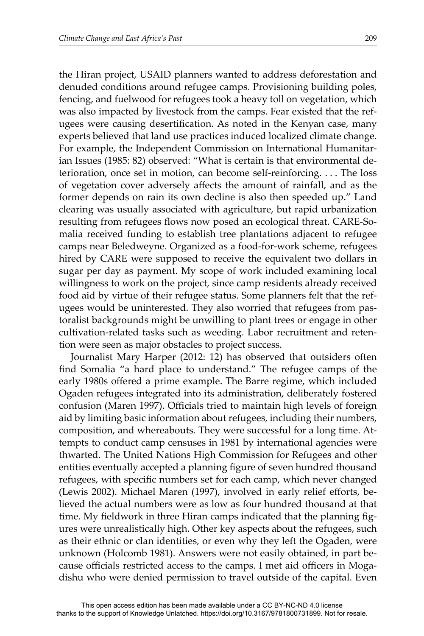the Hiran project, USAID planners wanted to address deforestation and denuded conditions around refugee camps. Provisioning building poles, fencing, and fuelwood for refugees took a heavy toll on vegetation, which was also impacted by livestock from the camps. Fear existed that the refugees were causing desertification. As noted in the Kenyan case, many experts believed that land use practices induced localized climate change. For example, the Independent Commission on International Humanitarian Issues (1985: 82) observed: "What is certain is that environmental deterioration, once set in motion, can become self-reinforcing. . . . The loss of vegetation cover adversely affects the amount of rainfall, and as the former depends on rain its own decline is also then speeded up." Land clearing was usually associated with agriculture, but rapid urbanization resulting from refugees flows now posed an ecological threat. CARE-Somalia received funding to establish tree plantations adjacent to refugee camps near Beledweyne. Organized as a food-for-work scheme, refugees hired by CARE were supposed to receive the equivalent two dollars in sugar per day as payment. My scope of work included examining local willingness to work on the project, since camp residents already received food aid by virtue of their refugee status. Some planners felt that the refugees would be uninterested. They also worried that refugees from pastoralist backgrounds might be unwilling to plant trees or engage in other cultivation-related tasks such as weeding. Labor recruitment and retention were seen as major obstacles to project success.

Journalist Mary Harper (2012: 12) has observed that outsiders often find Somalia "a hard place to understand." The refugee camps of the early 1980s offered a prime example. The Barre regime, which included Ogaden refugees integrated into its administration, deliberately fostered confusion (Maren 1997). Officials tried to maintain high levels of foreign aid by limiting basic information about refugees, including their numbers, composition, and whereabouts. They were successful for a long time. Attempts to conduct camp censuses in 1981 by international agencies were thwarted. The United Nations High Commission for Refugees and other entities eventually accepted a planning figure of seven hundred thousand refugees, with specific numbers set for each camp, which never changed (Lewis 2002). Michael Maren (1997), involved in early relief efforts, believed the actual numbers were as low as four hundred thousand at that time. My fieldwork in three Hiran camps indicated that the planning figures were unrealistically high. Other key aspects about the refugees, such as their ethnic or clan identities, or even why they left the Ogaden, were unknown (Holcomb 1981). Answers were not easily obtained, in part because officials restricted access to the camps. I met aid officers in Mogadishu who were denied permission to travel outside of the capital. Even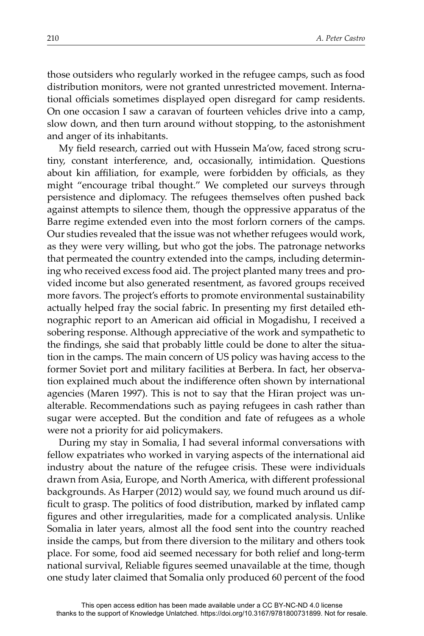those outsiders who regularly worked in the refugee camps, such as food distribution monitors, were not granted unrestricted movement. International officials sometimes displayed open disregard for camp residents. On one occasion I saw a caravan of fourteen vehicles drive into a camp, slow down, and then turn around without stopping, to the astonishment and anger of its inhabitants.

My field research, carried out with Hussein Ma'ow, faced strong scrutiny, constant interference, and, occasionally, intimidation. Questions about kin affiliation, for example, were forbidden by officials, as they might "encourage tribal thought." We completed our surveys through persistence and diplomacy. The refugees themselves often pushed back against attempts to silence them, though the oppressive apparatus of the Barre regime extended even into the most forlorn corners of the camps. Our studies revealed that the issue was not whether refugees would work, as they were very willing, but who got the jobs. The patronage networks that permeated the country extended into the camps, including determining who received excess food aid. The project planted many trees and provided income but also generated resentment, as favored groups received more favors. The project's efforts to promote environmental sustainability actually helped fray the social fabric. In presenting my first detailed ethnographic report to an American aid official in Mogadishu, I received a sobering response. Although appreciative of the work and sympathetic to the findings, she said that probably little could be done to alter the situation in the camps. The main concern of US policy was having access to the former Soviet port and military facilities at Berbera. In fact, her observation explained much about the indifference often shown by international agencies (Maren 1997). This is not to say that the Hiran project was unalterable. Recommendations such as paying refugees in cash rather than sugar were accepted. But the condition and fate of refugees as a whole were not a priority for aid policymakers.

During my stay in Somalia, I had several informal conversations with fellow expatriates who worked in varying aspects of the international aid industry about the nature of the refugee crisis. These were individuals drawn from Asia, Europe, and North America, with different professional backgrounds. As Harper (2012) would say, we found much around us difficult to grasp. The politics of food distribution, marked by inflated camp figures and other irregularities, made for a complicated analysis. Unlike Somalia in later years, almost all the food sent into the country reached inside the camps, but from there diversion to the military and others took place. For some, food aid seemed necessary for both relief and long-term national survival, Reliable figures seemed unavailable at the time, though one study later claimed that Somalia only produced 60 percent of the food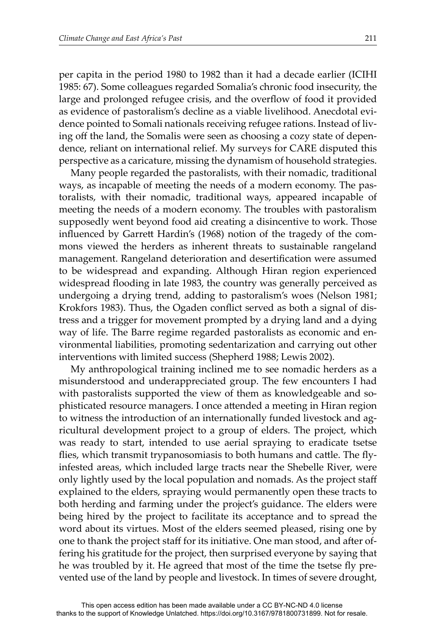per capita in the period 1980 to 1982 than it had a decade earlier (ICIHI 1985: 67). Some colleagues regarded Somalia's chronic food insecurity, the large and prolonged refugee crisis, and the overflow of food it provided as evidence of pastoralism's decline as a viable livelihood. Anecdotal evidence pointed to Somali nationals receiving refugee rations. Instead of living off the land, the Somalis were seen as choosing a cozy state of dependence, reliant on international relief. My surveys for CARE disputed this perspective as a caricature, missing the dynamism of household strategies.

Many people regarded the pastoralists, with their nomadic, traditional ways, as incapable of meeting the needs of a modern economy. The pastoralists, with their nomadic, traditional ways, appeared incapable of meeting the needs of a modern economy. The troubles with pastoralism supposedly went beyond food aid creating a disincentive to work. Those influenced by Garrett Hardin's (1968) notion of the tragedy of the commons viewed the herders as inherent threats to sustainable rangeland management. Rangeland deterioration and desertification were assumed to be widespread and expanding. Although Hiran region experienced widespread flooding in late 1983, the country was generally perceived as undergoing a drying trend, adding to pastoralism's woes (Nelson 1981; Krokfors 1983). Thus, the Ogaden conflict served as both a signal of distress and a trigger for movement prompted by a drying land and a dying way of life. The Barre regime regarded pastoralists as economic and environmental liabilities, promoting sedentarization and carrying out other interventions with limited success (Shepherd 1988; Lewis 2002).

My anthropological training inclined me to see nomadic herders as a misunderstood and underappreciated group. The few encounters I had with pastoralists supported the view of them as knowledgeable and sophisticated resource managers. I once attended a meeting in Hiran region to witness the introduction of an internationally funded livestock and agricultural development project to a group of elders. The project, which was ready to start, intended to use aerial spraying to eradicate tsetse flies, which transmit trypanosomiasis to both humans and cattle. The flyinfested areas, which included large tracts near the Shebelle River, were only lightly used by the local population and nomads. As the project staff explained to the elders, spraying would permanently open these tracts to both herding and farming under the project's guidance. The elders were being hired by the project to facilitate its acceptance and to spread the word about its virtues. Most of the elders seemed pleased, rising one by one to thank the project staff for its initiative. One man stood, and after offering his gratitude for the project, then surprised everyone by saying that he was troubled by it. He agreed that most of the time the tsetse fly prevented use of the land by people and livestock. In times of severe drought,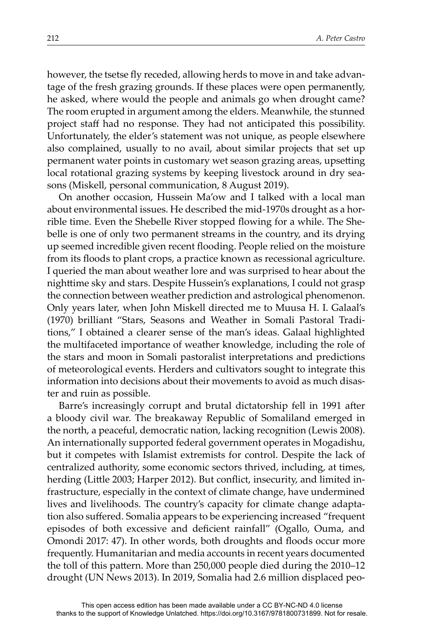however, the tsetse fly receded, allowing herds to move in and take advantage of the fresh grazing grounds. If these places were open permanently, he asked, where would the people and animals go when drought came? The room erupted in argument among the elders. Meanwhile, the stunned project staff had no response. They had not anticipated this possibility. Unfortunately, the elder's statement was not unique, as people elsewhere also complained, usually to no avail, about similar projects that set up permanent water points in customary wet season grazing areas, upsetting local rotational grazing systems by keeping livestock around in dry seasons (Miskell, personal communication, 8 August 2019).

On another occasion, Hussein Ma'ow and I talked with a local man about environmental issues. He described the mid-1970s drought as a horrible time. Even the Shebelle River stopped flowing for a while. The Shebelle is one of only two permanent streams in the country, and its drying up seemed incredible given recent flooding. People relied on the moisture from its floods to plant crops, a practice known as recessional agriculture. I queried the man about weather lore and was surprised to hear about the nighttime sky and stars. Despite Hussein's explanations, I could not grasp the connection between weather prediction and astrological phenomenon. Only years later, when John Miskell directed me to Muusa H. I. Galaal's (1970) brilliant "Stars, Seasons and Weather in Somali Pastoral Traditions," I obtained a clearer sense of the man's ideas. Galaal highlighted the multifaceted importance of weather knowledge, including the role of the stars and moon in Somali pastoralist interpretations and predictions of meteorological events. Herders and cultivators sought to integrate this information into decisions about their movements to avoid as much disaster and ruin as possible.

Barre's increasingly corrupt and brutal dictatorship fell in 1991 after a bloody civil war. The breakaway Republic of Somaliland emerged in the north, a peaceful, democratic nation, lacking recognition (Lewis 2008). An internationally supported federal government operates in Mogadishu, but it competes with Islamist extremists for control. Despite the lack of centralized authority, some economic sectors thrived, including, at times, herding (Little 2003; Harper 2012). But conflict, insecurity, and limited infrastructure, especially in the context of climate change, have undermined lives and livelihoods. The country's capacity for climate change adaptation also suffered. Somalia appears to be experiencing increased "frequent" episodes of both excessive and deficient rainfall" (Ogallo, Ouma, and Omondi 2017: 47). In other words, both droughts and floods occur more frequently. Humanitarian and media accounts in recent years documented the toll of this pattern. More than 250,000 people died during the 2010–12 drought (UN News 2013). In 2019, Somalia had 2.6 million displaced peo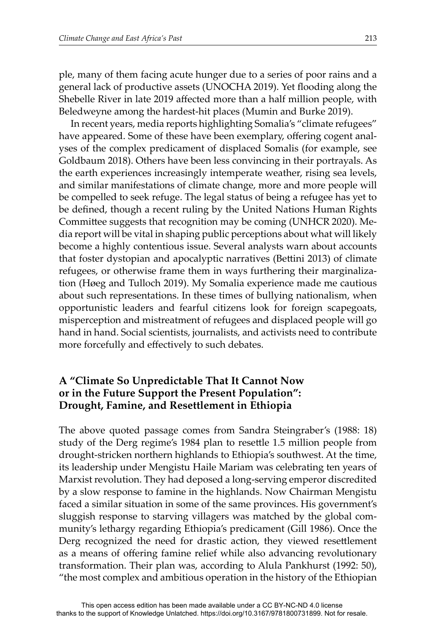ple, many of them facing acute hunger due to a series of poor rains and a general lack of productive assets (UNOCHA 2019). Yet flooding along the Shebelle River in late 2019 affected more than a half million people, with Beledweyne among the hardest-hit places (Mumin and Burke 2019).

In recent years, media reports highlighting Somalia's "climate refugees" have appeared. Some of these have been exemplary, offering cogent analyses of the complex predicament of displaced Somalis (for example, see Goldbaum 2018). Others have been less convincing in their portrayals. As the earth experiences increasingly intemperate weather, rising sea levels, and similar manifestations of climate change, more and more people will be compelled to seek refuge. The legal status of being a refugee has yet to be defined, though a recent ruling by the United Nations Human Rights Committee suggests that recognition may be coming (UNHCR 2020). Media report will be vital in shaping public perceptions about what will likely become a highly contentious issue. Several analysts warn about accounts that foster dystopian and apocalyptic narratives (Bettini 2013) of climate refugees, or otherwise frame them in ways furthering their marginalization (Høeg and Tulloch 2019). My Somalia experience made me cautious about such representations. In these times of bullying nationalism, when opportunistic leaders and fearful citizens look for foreign scapegoats, misperception and mistreatment of refugees and displaced people will go hand in hand. Social scientists, journalists, and activists need to contribute more forcefully and effectively to such debates.

# **A "Climate So Unpredictable That It Cannot Now or in the Future Support the Present Population": Drought, Famine, and Resettlement in Ethiopia**

The above quoted passage comes from Sandra Steingraber's (1988: 18) study of the Derg regime's 1984 plan to resettle 1.5 million people from drought-stricken northern highlands to Ethiopia's southwest. At the time, its leadership under Mengistu Haile Mariam was celebrating ten years of Marxist revolution. They had deposed a long-serving emperor discredited by a slow response to famine in the highlands. Now Chairman Mengistu faced a similar situation in some of the same provinces. His government's sluggish response to starving villagers was matched by the global community's lethargy regarding Ethiopia's predicament (Gill 1986). Once the Derg recognized the need for drastic action, they viewed resettlement as a means of offering famine relief while also advancing revolutionary transformation. Their plan was, according to Alula Pankhurst (1992: 50), "the most complex and ambitious operation in the history of the Ethiopian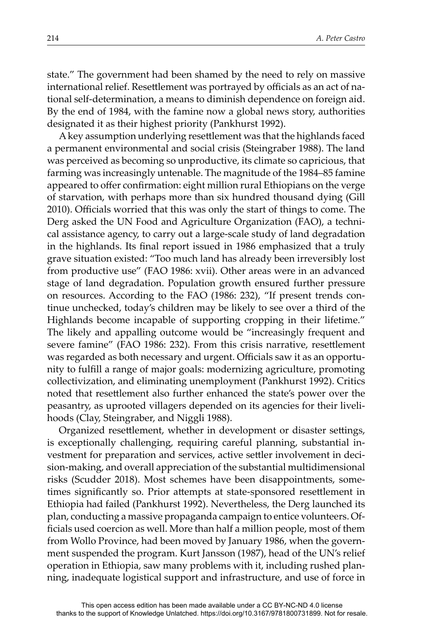state." The government had been shamed by the need to rely on massive international relief. Resettlement was portrayed by officials as an act of national self-determination, a means to diminish dependence on foreign aid. By the end of 1984, with the famine now a global news story, authorities designated it as their highest priority (Pankhurst 1992).

A key assumption underlying resettlement was that the highlands faced a permanent environmental and social crisis (Steingraber 1988). The land was perceived as becoming so unproductive, its climate so capricious, that farming was increasingly untenable. The magnitude of the 1984–85 famine appeared to offer confirmation: eight million rural Ethiopians on the verge of starvation, with perhaps more than six hundred thousand dying (Gill 2010). Officials worried that this was only the start of things to come. The Derg asked the UN Food and Agriculture Organization (FAO), a technical assistance agency, to carry out a large-scale study of land degradation in the highlands. Its final report issued in 1986 emphasized that a truly grave situation existed: "Too much land has already been irreversibly lost from productive use" (FAO 1986: xvii). Other areas were in an advanced stage of land degradation. Population growth ensured further pressure on resources. According to the FAO (1986: 232), "If present trends continue unchecked, today's children may be likely to see over a third of the Highlands become incapable of supporting cropping in their lifetime." The likely and appalling outcome would be "increasingly frequent and severe famine" (FAO 1986: 232). From this crisis narrative, resettlement was regarded as both necessary and urgent. Officials saw it as an opportunity to fulfill a range of major goals: modernizing agriculture, promoting collectivization, and eliminating unemployment (Pankhurst 1992). Critics noted that resettlement also further enhanced the state's power over the peasantry, as uprooted villagers depended on its agencies for their livelihoods (Clay, Steingraber, and Niggli 1988).

Organized resettlement, whether in development or disaster settings, is exceptionally challenging, requiring careful planning, substantial investment for preparation and services, active settler involvement in decision-making, and overall appreciation of the substantial multidimensional risks (Scudder 2018). Most schemes have been disappointments, sometimes significantly so. Prior attempts at state-sponsored resettlement in Ethiopia had failed (Pankhurst 1992). Nevertheless, the Derg launched its plan, conducting a massive propaganda campaign to entice volunteers. Officials used coercion as well. More than half a million people, most of them from Wollo Province, had been moved by January 1986, when the government suspended the program. Kurt Jansson (1987), head of the UN's relief operation in Ethiopia, saw many problems with it, including rushed planning, inadequate logistical support and infrastructure, and use of force in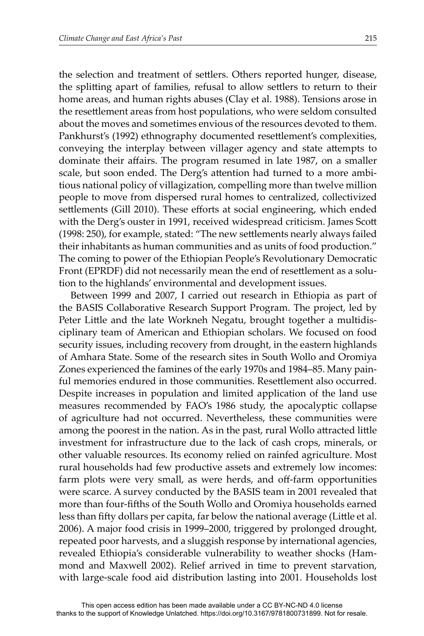the selection and treatment of settlers. Others reported hunger, disease, the splitting apart of families, refusal to allow settlers to return to their home areas, and human rights abuses (Clay et al. 1988). Tensions arose in the resettlement areas from host populations, who were seldom consulted about the moves and sometimes envious of the resources devoted to them. Pankhurst's (1992) ethnography documented resettlement's complexities, conveying the interplay between villager agency and state attempts to dominate their affairs. The program resumed in late 1987, on a smaller scale, but soon ended. The Derg's attention had turned to a more ambitious national policy of villagization, compelling more than twelve million people to move from dispersed rural homes to centralized, collectivized settlements (Gill 2010). These efforts at social engineering, which ended with the Derg's ouster in 1991, received widespread criticism. James Scott (1998: 250), for example, stated: "The new settlements nearly always failed their inhabitants as human communities and as units of food production." The coming to power of the Ethiopian People's Revolutionary Democratic Front (EPRDF) did not necessarily mean the end of resettlement as a solution to the highlands' environmental and development issues.

Between 1999 and 2007, I carried out research in Ethiopia as part of the BASIS Collaborative Research Support Program. The project, led by Peter Little and the late Workneh Negatu, brought together a multidisciplinary team of American and Ethiopian scholars. We focused on food security issues, including recovery from drought, in the eastern highlands of Amhara State. Some of the research sites in South Wollo and Oromiya Zones experienced the famines of the early 1970s and 1984–85. Many painful memories endured in those communities. Resettlement also occurred. Despite increases in population and limited application of the land use measures recommended by FAO's 1986 study, the apocalyptic collapse of agriculture had not occurred. Nevertheless, these communities were among the poorest in the nation. As in the past, rural Wollo attracted little investment for infrastructure due to the lack of cash crops, minerals, or other valuable resources. Its economy relied on rainfed agriculture. Most rural households had few productive assets and extremely low incomes: farm plots were very small, as were herds, and off-farm opportunities were scarce. A survey conducted by the BASIS team in 2001 revealed that more than four-fifths of the South Wollo and Oromiya households earned less than fifty dollars per capita, far below the national average (Little et al. 2006). A major food crisis in 1999–2000, triggered by prolonged drought, repeated poor harvests, and a sluggish response by international agencies, revealed Ethiopia's considerable vulnerability to weather shocks (Hammond and Maxwell 2002). Relief arrived in time to prevent starvation, with large-scale food aid distribution lasting into 2001. Households lost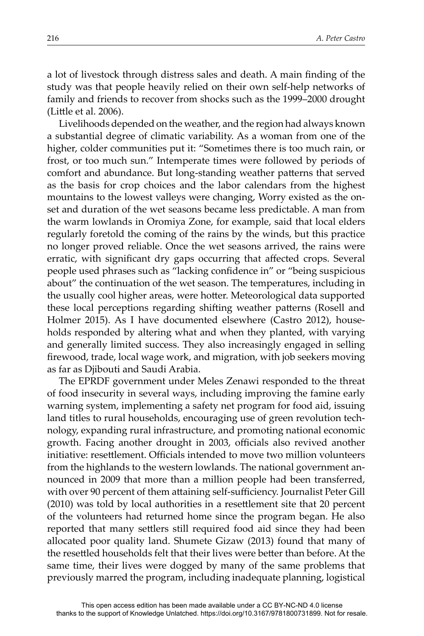a lot of livestock through distress sales and death. A main finding of the study was that people heavily relied on their own self-help networks of family and friends to recover from shocks such as the 1999–2000 drought  $(Little et al. 2006).$ 

Livelihoods depended on the weather, and the region had always known a substantial degree of climatic variability. As a woman from one of the higher, colder communities put it: "Sometimes there is too much rain, or frost, or too much sun." Intemperate times were followed by periods of comfort and abundance. But long-standing weather patterns that served as the basis for crop choices and the labor calendars from the highest mountains to the lowest valleys were changing, Worry existed as the onset and duration of the wet seasons became less predictable. A man from the warm lowlands in Oromiya Zone, for example, said that local elders regularly foretold the coming of the rains by the winds, but this practice no longer proved reliable. Once the wet seasons arrived, the rains were erratic, with significant dry gaps occurring that affected crops. Several people used phrases such as "lacking confidence in" or "being suspicious about" the continuation of the wet season. The temperatures, including in the usually cool higher areas, were hotter. Meteorological data supported these local perceptions regarding shifting weather patterns (Rosell and Holmer 2015). As I have documented elsewhere (Castro 2012), households responded by altering what and when they planted, with varying and generally limited success. They also increasingly engaged in selling firewood, trade, local wage work, and migration, with job seekers moving as far as Djibouti and Saudi Arabia.

The EPRDF government under Meles Zenawi responded to the threat of food insecurity in several ways, including improving the famine early warning system, implementing a safety net program for food aid, issuing land titles to rural households, encouraging use of green revolution technology, expanding rural infrastructure, and promoting national economic growth. Facing another drought in 2003, officials also revived another initiative: resettlement. Officials intended to move two million volunteers from the highlands to the western lowlands. The national government announced in 2009 that more than a million people had been transferred, with over 90 percent of them attaining self-sufficiency. Journalist Peter Gill  $(2010)$  was told by local authorities in a resettlement site that 20 percent of the volunteers had returned home since the program began. He also reported that many settlers still required food aid since they had been allocated poor quality land. Shumete Gizaw (2013) found that many of the resettled households felt that their lives were better than before. At the same time, their lives were dogged by many of the same problems that previously marred the program, including inadequate planning, logistical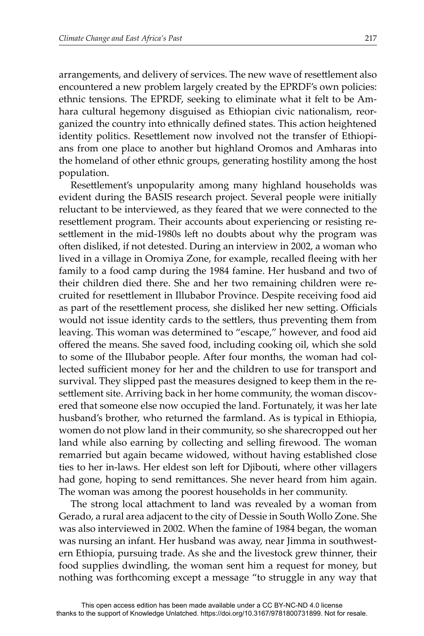arrangements, and delivery of services. The new wave of resettlement also encountered a new problem largely created by the EPRDF's own policies: ethnic tensions. The EPRDF, seeking to eliminate what it felt to be Amhara cultural hegemony disguised as Ethiopian civic nationalism, reorganized the country into ethnically defined states. This action heightened identity politics. Resettlement now involved not the transfer of Ethiopians from one place to another but highland Oromos and Amharas into the homeland of other ethnic groups, generating hostility among the host population.

Resettlement's unpopularity among many highland households was evident during the BASIS research project. Several people were initially reluctant to be interviewed, as they feared that we were connected to the resettlement program. Their accounts about experiencing or resisting resettlement in the mid-1980s left no doubts about why the program was often disliked, if not detested. During an interview in 2002, a woman who lived in a village in Oromiya Zone, for example, recalled fleeing with her family to a food camp during the 1984 famine. Her husband and two of their children died there. She and her two remaining children were recruited for resettlement in Illubabor Province. Despite receiving food aid as part of the resettlement process, she disliked her new setting. Officials would not issue identity cards to the settlers, thus preventing them from leaving. This woman was determined to "escape," however, and food aid offered the means. She saved food, including cooking oil, which she sold to some of the Illubabor people. After four months, the woman had collected sufficient money for her and the children to use for transport and survival. They slipped past the measures designed to keep them in the resettlement site. Arriving back in her home community, the woman discovered that someone else now occupied the land. Fortunately, it was her late husband's brother, who returned the farmland. As is typical in Ethiopia, women do not plow land in their community, so she sharecropped out her land while also earning by collecting and selling firewood. The woman remarried but again became widowed, without having established close ties to her in-laws. Her eldest son left for Djibouti, where other villagers had gone, hoping to send remittances. She never heard from him again. The woman was among the poorest households in her community.

The strong local attachment to land was revealed by a woman from Gerado, a rural area adjacent to the city of Dessie in South Wollo Zone. She was also interviewed in 2002. When the famine of 1984 began, the woman was nursing an infant. Her husband was away, near Jimma in southwestern Ethiopia, pursuing trade. As she and the livestock grew thinner, their food supplies dwindling, the woman sent him a request for money, but nothing was forthcoming except a message "to struggle in any way that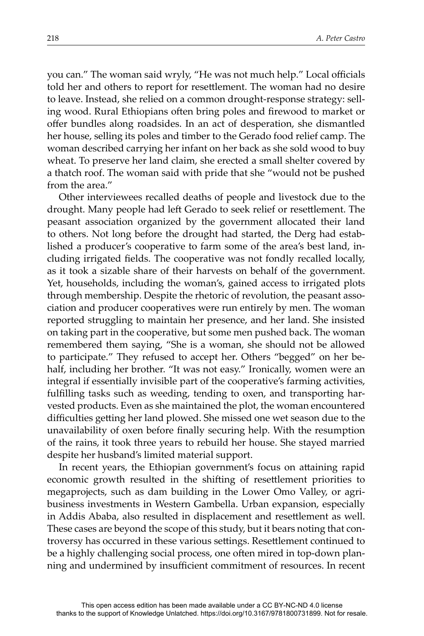you can." The woman said wryly, "He was not much help." Local officials told her and others to report for resettlement. The woman had no desire to leave. Instead, she relied on a common drought-response strategy: selling wood. Rural Ethiopians often bring poles and firewood to market or offer bundles along roadsides. In an act of desperation, she dismantled her house, selling its poles and timber to the Gerado food relief camp. The woman described carrying her infant on her back as she sold wood to buy wheat. To preserve her land claim, she erected a small shelter covered by a thatch roof. The woman said with pride that she "would not be pushed from the area."

Other interviewees recalled deaths of people and livestock due to the drought. Many people had left Gerado to seek relief or resettlement. The peasant association organized by the government allocated their land to others. Not long before the drought had started, the Derg had established a producer's cooperative to farm some of the area's best land, including irrigated fields. The cooperative was not fondly recalled locally, as it took a sizable share of their harvests on behalf of the government. Yet, households, including the woman's, gained access to irrigated plots through membership. Despite the rhetoric of revolution, the peasant association and producer cooperatives were run entirely by men. The woman reported struggling to maintain her presence, and her land. She insisted on taking part in the cooperative, but some men pushed back. The woman remembered them saying, "She is a woman, she should not be allowed to participate." They refused to accept her. Others "begged" on her behalf, including her brother. "It was not easy." Ironically, women were an integral if essentially invisible part of the cooperative's farming activities, fulfilling tasks such as weeding, tending to oxen, and transporting harvested products. Even as she maintained the plot, the woman encountered difficulties getting her land plowed. She missed one wet season due to the unavailability of oxen before finally securing help. With the resumption of the rains, it took three years to rebuild her house. She stayed married despite her husband's limited material support.

In recent years, the Ethiopian government's focus on attaining rapid economic growth resulted in the shifting of resettlement priorities to megaprojects, such as dam building in the Lower Omo Valley, or agribusiness investments in Western Gambella. Urban expansion, especially in Addis Ababa, also resulted in displacement and resettlement as well. These cases are beyond the scope of this study, but it bears noting that controversy has occurred in these various settings. Resettlement continued to be a highly challenging social process, one often mired in top-down planning and undermined by insufficient commitment of resources. In recent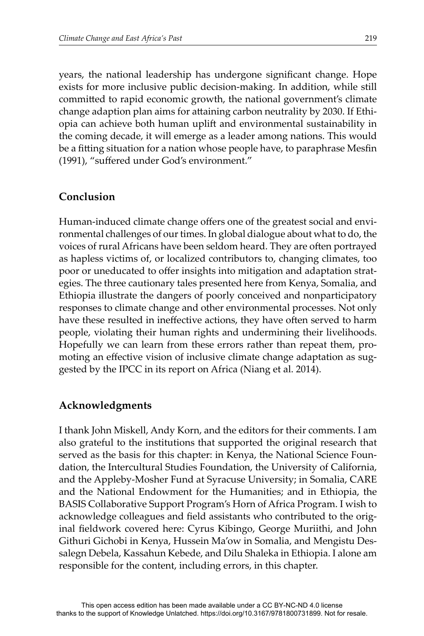years, the national leadership has undergone significant change. Hope exists for more inclusive public decision-making. In addition, while still committed to rapid economic growth, the national government's climate change adaption plan aims for attaining carbon neutrality by 2030. If Ethiopia can achieve both human uplift and environmental sustainability in the coming decade, it will emerge as a leader among nations. This would be a fitting situation for a nation whose people have, to paraphrase Mesfin (1991), "suffered under God's environment."

## **Conclusion**

Human-induced climate change offers one of the greatest social and environmental challenges of our times. In global dialogue about what to do, the voices of rural Africans have been seldom heard. They are often portrayed as hapless victims of, or localized contributors to, changing climates, too poor or uneducated to offer insights into mitigation and adaptation strategies. The three cautionary tales presented here from Kenya, Somalia, and Ethiopia illustrate the dangers of poorly conceived and nonparticipatory responses to climate change and other environmental processes. Not only have these resulted in ineffective actions, they have often served to harm people, violating their human rights and undermining their livelihoods. Hopefully we can learn from these errors rather than repeat them, promoting an effective vision of inclusive climate change adaptation as suggested by the IPCC in its report on Africa (Niang et al. 2014).

## **Acknowledgments**

I thank John Miskell, Andy Korn, and the editors for their comments. I am also grateful to the institutions that supported the original research that served as the basis for this chapter: in Kenya, the National Science Foundation, the Intercultural Studies Foundation, the University of California, and the Appleby-Mosher Fund at Syracuse University; in Somalia, CARE and the National Endowment for the Humanities; and in Ethiopia, the BASIS Collaborative Support Program's Horn of Africa Program. I wish to acknowledge colleagues and field assistants who contributed to the original fieldwork covered here: Cyrus Kibingo, George Muriithi, and John Githuri Gichobi in Kenya, Hussein Ma'ow in Somalia, and Mengistu Dessalegn Debela, Kassahun Kebede, and Dilu Shaleka in Ethiopia. I alone am responsible for the content, including errors, in this chapter.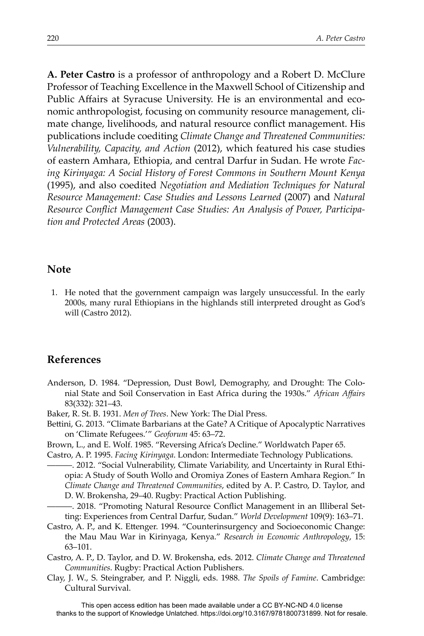**A. Peter Castro** is a professor of anthropology and a Robert D. McClure Professor of Teaching Excellence in the Maxwell School of Citizenship and Public Affairs at Syracuse University. He is an environmental and economic anthropologist, focusing on community resource management, climate change, livelihoods, and natural resource conflict management. His publications include coediting *Climate Change and Threatened Communities: Vulnerability, Capacity, and Action* (2012), which featured his case studies of eastern Amhara, Ethiopia, and central Darfur in Sudan. He wrote *Facing Kirinyaga: A Social History of Forest Commons in Southern Mount Kenya* (1995), and also coedited *Negotiation and Mediation Techniques for Natural Resource Management: Case Studies and Lessons Learned* (2007) and *Natural*  Resource Conflict Management Case Studies: An Analysis of Power, Participa*tion and Protected Areas* (2003).

#### **Note**

1. He noted that the government campaign was largely unsuccessful. In the early 2000s, many rural Ethiopians in the highlands still interpreted drought as God's will (Castro 2012).

## **References**

- Anderson, D. 1984. "Depression, Dust Bowl, Demography, and Drought: The Colonial State and Soil Conservation in East Africa during the 1930s." African Affairs 83(332): 321–43.
- Baker, R. St. B. 1931. *Men of Trees*. New York: The Dial Press.
- Bettini, G. 2013. "Climate Barbarians at the Gate? A Critique of Apocalyptic Narratives on 'Climate Refugees.'" *Geoforum* 45: 63–72.
- Brown, L., and E. Wolf. 1985. "Reversing Africa's Decline." Worldwatch Paper 65.
- Castro, A. P. 1995. *Facing Kirinyaga*. London: Intermediate Technology Publications.
	- ———. 2012. "Social Vulnerability, Climate Variability, and Uncertainty in Rural Ethiopia: A Study of South Wollo and Oromiya Zones of Eastern Amhara Region." In *Climate Change and Threatened Communities*, edited by A. P. Castro, D. Taylor, and D. W. Brokensha, 29–40. Rugby: Practical Action Publishing.
- —. 2018. "Promoting Natural Resource Conflict Management in an Illiberal Setting: Experiences from Central Darfur, Sudan." *World Development* 109(9): 163–71.
- Castro, A. P., and K. Ettenger. 1994. "Counterinsurgency and Socioeconomic Change: the Mau Mau War in Kirinyaga, Kenya." *Research in Economic Anthropology*, 15: 63–101.
- Castro, A. P., D. Taylor, and D. W. Brokensha, eds. 2012. *Climate Change and Threatened Communities*. Rugby: Practical Action Publishers.
- Clay, J. W., S. Steingraber, and P. Niggli, eds. 1988. *The Spoils of Famine*. Cambridge: Cultural Survival.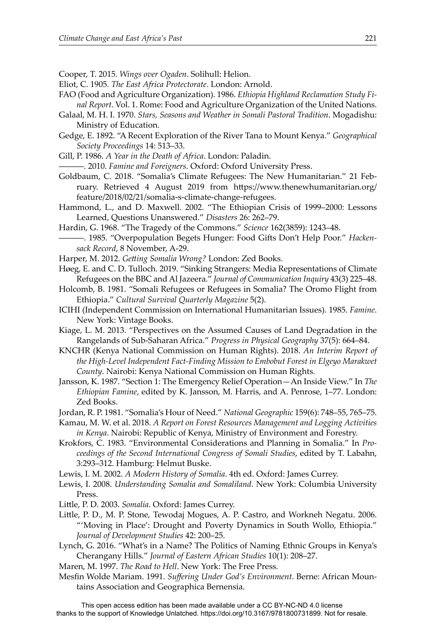Cooper, T. 2015. *Wings over Ogaden*. Solihull: Helion.

- Eliot, C. 1905. *The East Africa Protectorate*. London: Arnold.
- FAO (Food and Agriculture Organization). 1986. *Ethiopia Highland Reclamation Study Final Report*. Vol. 1. Rome: Food and Agriculture Organization of the United Nations.
- Galaal, M. H. I. 1970. *Stars, Seasons and Weather in Somali Pastoral Tradition*. Mogadishu: Ministry of Education.
- Gedge, E. 1892. "A Recent Exploration of the River Tana to Mount Kenya." *Geographical Society Proceedings* 14: 513–33.
- Gill, P. 1986. *A Year in the Death of Africa*. London: Paladin.
- ———. 2010. *Famine and Foreigners*. Oxford: Oxford University Press.
- Goldbaum, C. 2018. "Somalia's Climate Refugees: The New Humanitarian." 21 February. Retrieved 4 August 2019 from https://www.thenewhumanitarian.org/ feature/2018/02/21/somalia-s-climate-change-refugees.
- Hammond, L., and D. Maxwell. 2002. "The Ethiopian Crisis of 1999–2000: Lessons Learned, Questions Unanswered." *Disasters* 26: 262–79.
- Hardin, G. 1968. "The Tragedy of the Commons." *Science* 162(3859): 1243–48.
- -. 1985. "Overpopulation Begets Hunger: Food Gifts Don't Help Poor." Hacken*sack Record*, 8 November, A-29.
- Harper, M. 2012. *Getting Somalia Wrong?* London: Zed Books.
- Høeg, E. and C. D. Tulloch. 2019. "Sinking Strangers: Media Representations of Climate Refugees on the BBC and Al Jazeera." *Journal of Communication Inquiry* 43(3) 225–48.
- Holcomb, B. 1981. "Somali Refugees or Refugees in Somalia? The Oromo Flight from Ethiopia." *Cultural Survival Quarterly Magazine* 5(2).
- ICIHI (Independent Commission on International Humanitarian Issues). 1985. *Famine*. New York: Vintage Books.
- Kiage, L. M. 2013. "Perspectives on the Assumed Causes of Land Degradation in the Rangelands of Sub-Saharan Africa." *Progress in Physical Geography* 37(5): 664–84.
- KNCHR (Kenya National Commission on Human Rights). 2018. *An Interim Report of the High-Level Independent Fact-Finding Mission to Embobut Forest in Elgeyo Marakwet County*. Nairobi: Kenya National Commission on Human Rights.
- Jansson, K. 1987. "Section 1: The Emergency Relief Operation—An Inside View." In *The Ethiopian Famine*, edited by K. Jansson, M. Harris, and A. Penrose, 1–77. London: Zed Books.
- Jordan, R. P. 1981. "Somalia's Hour of Need." *National Geographic* 159(6): 748–55, 765–75.
- Kamau, M. W. et al. 2018. *A Report on Forest Resources Management and Logging Activities in Kenya*. Nairobi: Republic of Kenya, Ministry of Environment and Forestry.
- Krokfors, C. 1983. "Environmental Considerations and Planning in Somalia." In *Proceedings of the Second International Congress of Somali Studies*, edited by T. Labahn, 3:293–312. Hamburg: Helmut Buske.
- Lewis, I. M. 2002. *A Modern History of Somalia*. 4th ed. Oxford: James Currey.
- Lewis, I. 2008. *Understanding Somalia and Somaliland*. New York: Columbia University Press.
- Little, P. D. 2003. *Somalia*. Oxford: James Currey.
- Little, P. D., M. P. Stone, Tewodaj Mogues, A. P. Castro, and Workneh Negatu. 2006. "'Moving in Place': Drought and Poverty Dynamics in South Wollo, Ethiopia." *Journal of Development Studies* 42: 200–25.
- Lynch, G. 2016. "What's in a Name? The Politics of Naming Ethnic Groups in Kenya's Cherangany Hills." *Journal of Eastern African Studies* 10(1): 208–27.
- Maren, M. 1997. *The Road to Hell*. New York: The Free Press.
- Mesfin Wolde Mariam. 1991. *Suffering Under God's Environment*. Berne: African Mountains Association and Geographica Bernensia.

This open access edition has been made available under a CC BY-NC-ND 4.0 license thanks to the support of Knowledge Unlatched. https://doi.org/10.3167/9781800731899. Not for resale.